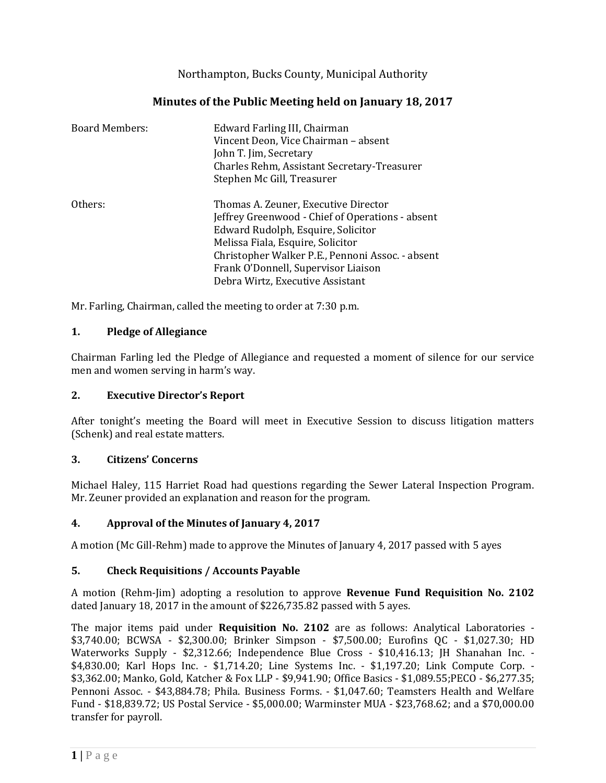Northampton, Bucks County, Municipal Authority

# **Minutes of the Public Meeting held on January 18, 2017**

| <b>Board Members:</b> | Edward Farling III, Chairman<br>Vincent Deon, Vice Chairman - absent<br>John T. Jim, Secretary<br>Charles Rehm, Assistant Secretary-Treasurer<br>Stephen Mc Gill, Treasurer                                                                                                                        |
|-----------------------|----------------------------------------------------------------------------------------------------------------------------------------------------------------------------------------------------------------------------------------------------------------------------------------------------|
| Others:               | Thomas A. Zeuner, Executive Director<br>Jeffrey Greenwood - Chief of Operations - absent<br>Edward Rudolph, Esquire, Solicitor<br>Melissa Fiala, Esquire, Solicitor<br>Christopher Walker P.E., Pennoni Assoc. - absent<br>Frank O'Donnell, Supervisor Liaison<br>Debra Wirtz, Executive Assistant |

Mr. Farling, Chairman, called the meeting to order at 7:30 p.m.

### **1. Pledge of Allegiance**

Chairman Farling led the Pledge of Allegiance and requested a moment of silence for our service men and women serving in harm's way.

#### **2. Executive Director's Report**

After tonight's meeting the Board will meet in Executive Session to discuss litigation matters (Schenk) and real estate matters.

#### **3. Citizens' Concerns**

Michael Haley, 115 Harriet Road had questions regarding the Sewer Lateral Inspection Program. Mr. Zeuner provided an explanation and reason for the program.

## **4. Approval of the Minutes of January 4, 2017**

A motion (Mc Gill-Rehm) made to approve the Minutes of January 4, 2017 passed with 5 ayes

## **5. Check Requisitions / Accounts Payable**

A motion (Rehm-Jim) adopting a resolution to approve **Revenue Fund Requisition No. 2102** dated January 18, 2017 in the amount of \$226,735.82 passed with 5 ayes.

The major items paid under **Requisition No. 2102** are as follows: Analytical Laboratories - \$3,740.00; BCWSA - \$2,300.00; Brinker Simpson - \$7,500.00; Eurofins QC - \$1,027.30; HD Waterworks Supply - \$2,312.66; Independence Blue Cross - \$10,416.13; JH Shanahan Inc. - \$4,830.00; Karl Hops Inc. - \$1,714.20; Line Systems Inc. - \$1,197.20; Link Compute Corp. - \$3,362.00; Manko, Gold, Katcher & Fox LLP - \$9,941.90; Office Basics - \$1,089.55;PECO - \$6,277.35; Pennoni Assoc. - \$43,884.78; Phila. Business Forms. - \$1,047.60; Teamsters Health and Welfare Fund - \$18,839.72; US Postal Service - \$5,000.00; Warminster MUA - \$23,768.62; and a \$70,000.00 transfer for payroll.